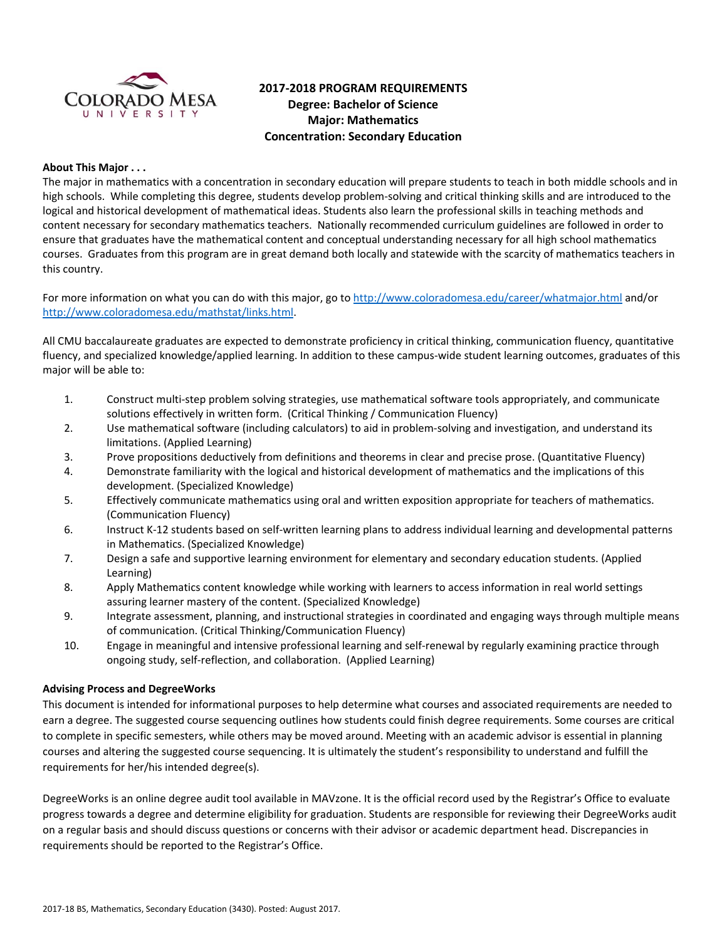

# **2017‐2018 PROGRAM REQUIREMENTS Degree: Bachelor of Science Major: Mathematics Concentration: Secondary Education**

#### **About This Major . . .**

The major in mathematics with a concentration in secondary education will prepare students to teach in both middle schools and in high schools. While completing this degree, students develop problem‐solving and critical thinking skills and are introduced to the logical and historical development of mathematical ideas. Students also learn the professional skills in teaching methods and content necessary for secondary mathematics teachers. Nationally recommended curriculum guidelines are followed in order to ensure that graduates have the mathematical content and conceptual understanding necessary for all high school mathematics courses. Graduates from this program are in great demand both locally and statewide with the scarcity of mathematics teachers in this country.

For more information on what you can do with this major, go to http://www.coloradomesa.edu/career/whatmajor.html and/or http://www.coloradomesa.edu/mathstat/links.html.

All CMU baccalaureate graduates are expected to demonstrate proficiency in critical thinking, communication fluency, quantitative fluency, and specialized knowledge/applied learning. In addition to these campus‐wide student learning outcomes, graduates of this major will be able to:

- 1. Construct multi‐step problem solving strategies, use mathematical software tools appropriately, and communicate solutions effectively in written form. (Critical Thinking / Communication Fluency)
- 2. Use mathematical software (including calculators) to aid in problem‐solving and investigation, and understand its limitations. (Applied Learning)
- 3. Prove propositions deductively from definitions and theorems in clear and precise prose. (Quantitative Fluency)
- 4. Demonstrate familiarity with the logical and historical development of mathematics and the implications of this development. (Specialized Knowledge)
- 5. Effectively communicate mathematics using oral and written exposition appropriate for teachers of mathematics. (Communication Fluency)
- 6. Instruct K‐12 students based on self‐written learning plans to address individual learning and developmental patterns in Mathematics. (Specialized Knowledge)
- 7. Design a safe and supportive learning environment for elementary and secondary education students. (Applied Learning)
- 8. Apply Mathematics content knowledge while working with learners to access information in real world settings assuring learner mastery of the content. (Specialized Knowledge)
- 9. Integrate assessment, planning, and instructional strategies in coordinated and engaging ways through multiple means of communication. (Critical Thinking/Communication Fluency)
- 10. Engage in meaningful and intensive professional learning and self‐renewal by regularly examining practice through ongoing study, self‐reflection, and collaboration. (Applied Learning)

#### **Advising Process and DegreeWorks**

This document is intended for informational purposes to help determine what courses and associated requirements are needed to earn a degree. The suggested course sequencing outlines how students could finish degree requirements. Some courses are critical to complete in specific semesters, while others may be moved around. Meeting with an academic advisor is essential in planning courses and altering the suggested course sequencing. It is ultimately the student's responsibility to understand and fulfill the requirements for her/his intended degree(s).

DegreeWorks is an online degree audit tool available in MAVzone. It is the official record used by the Registrar's Office to evaluate progress towards a degree and determine eligibility for graduation. Students are responsible for reviewing their DegreeWorks audit on a regular basis and should discuss questions or concerns with their advisor or academic department head. Discrepancies in requirements should be reported to the Registrar's Office.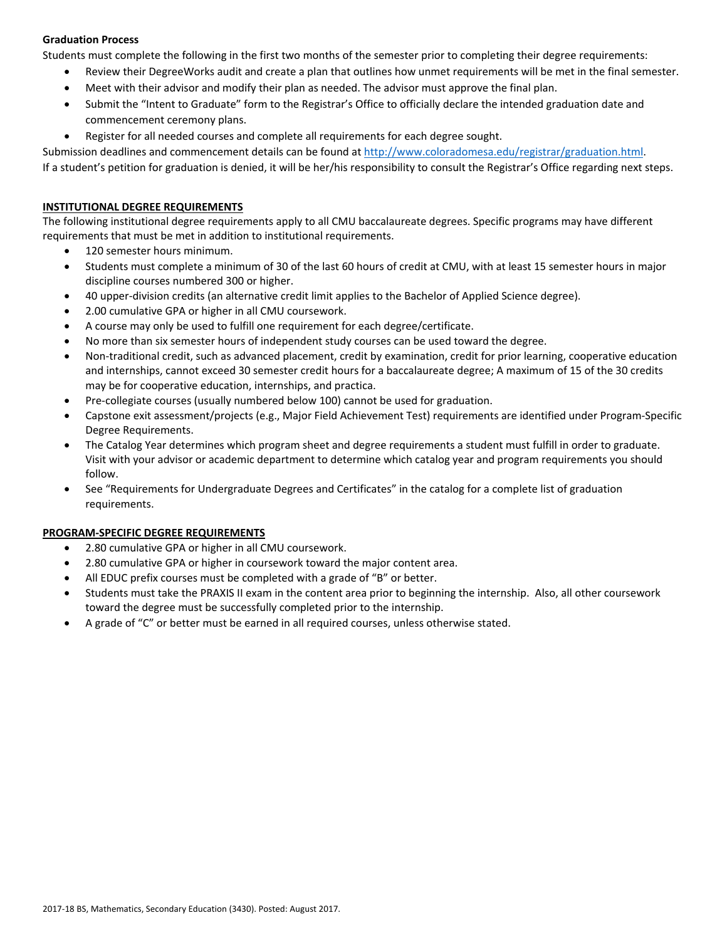### **Graduation Process**

Students must complete the following in the first two months of the semester prior to completing their degree requirements:

- Review their DegreeWorks audit and create a plan that outlines how unmet requirements will be met in the final semester.
- Meet with their advisor and modify their plan as needed. The advisor must approve the final plan.
- Submit the "Intent to Graduate" form to the Registrar's Office to officially declare the intended graduation date and commencement ceremony plans.
- Register for all needed courses and complete all requirements for each degree sought.

Submission deadlines and commencement details can be found at http://www.coloradomesa.edu/registrar/graduation.html.

If a student's petition for graduation is denied, it will be her/his responsibility to consult the Registrar's Office regarding next steps.

#### **INSTITUTIONAL DEGREE REQUIREMENTS**

The following institutional degree requirements apply to all CMU baccalaureate degrees. Specific programs may have different requirements that must be met in addition to institutional requirements.

- 120 semester hours minimum.
- Students must complete a minimum of 30 of the last 60 hours of credit at CMU, with at least 15 semester hours in major discipline courses numbered 300 or higher.
- 40 upper-division credits (an alternative credit limit applies to the Bachelor of Applied Science degree).
- 2.00 cumulative GPA or higher in all CMU coursework.
- A course may only be used to fulfill one requirement for each degree/certificate.
- No more than six semester hours of independent study courses can be used toward the degree.
- Non-traditional credit, such as advanced placement, credit by examination, credit for prior learning, cooperative education and internships, cannot exceed 30 semester credit hours for a baccalaureate degree; A maximum of 15 of the 30 credits may be for cooperative education, internships, and practica.
- Pre‐collegiate courses (usually numbered below 100) cannot be used for graduation.
- Capstone exit assessment/projects (e.g., Major Field Achievement Test) requirements are identified under Program‐Specific Degree Requirements.
- The Catalog Year determines which program sheet and degree requirements a student must fulfill in order to graduate. Visit with your advisor or academic department to determine which catalog year and program requirements you should follow.
- See "Requirements for Undergraduate Degrees and Certificates" in the catalog for a complete list of graduation requirements.

### **PROGRAM‐SPECIFIC DEGREE REQUIREMENTS**

- 2.80 cumulative GPA or higher in all CMU coursework.
- 2.80 cumulative GPA or higher in coursework toward the major content area.
- All EDUC prefix courses must be completed with a grade of "B" or better.
- Students must take the PRAXIS II exam in the content area prior to beginning the internship. Also, all other coursework toward the degree must be successfully completed prior to the internship.
- A grade of "C" or better must be earned in all required courses, unless otherwise stated.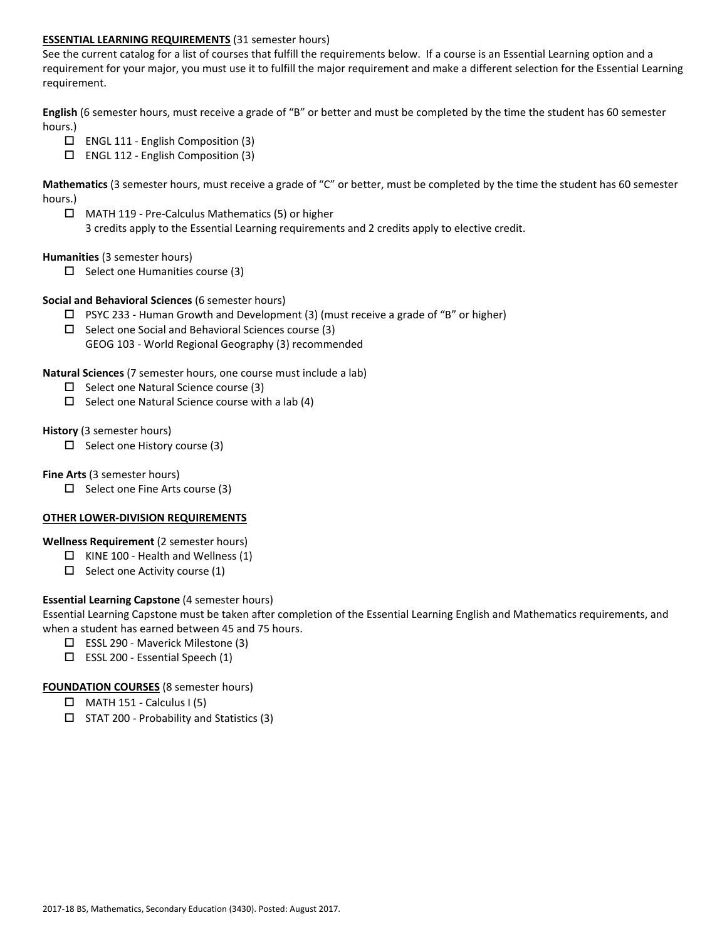### **ESSENTIAL LEARNING REQUIREMENTS** (31 semester hours)

See the current catalog for a list of courses that fulfill the requirements below. If a course is an Essential Learning option and a requirement for your major, you must use it to fulfill the major requirement and make a different selection for the Essential Learning requirement.

**English** (6 semester hours, must receive a grade of "B" or better and must be completed by the time the student has 60 semester hours.)

- $\Box$  ENGL 111 English Composition (3)
- ENGL 112 ‐ English Composition (3)

**Mathematics** (3 semester hours, must receive a grade of "C" or better, must be completed by the time the student has 60 semester hours.)

 MATH 119 ‐ Pre‐Calculus Mathematics (5) or higher 3 credits apply to the Essential Learning requirements and 2 credits apply to elective credit.

#### **Humanities** (3 semester hours)

 $\Box$  Select one Humanities course (3)

#### **Social and Behavioral Sciences** (6 semester hours)

- $\Box$  PSYC 233 Human Growth and Development (3) (must receive a grade of "B" or higher)
- $\square$  Select one Social and Behavioral Sciences course (3) GEOG 103 ‐ World Regional Geography (3) recommended

#### **Natural Sciences** (7 semester hours, one course must include a lab)

- $\Box$  Select one Natural Science course (3)
- $\Box$  Select one Natural Science course with a lab (4)

#### **History** (3 semester hours)

 $\Box$  Select one History course (3)

#### **Fine Arts** (3 semester hours)

 $\square$  Select one Fine Arts course (3)

### **OTHER LOWER‐DIVISION REQUIREMENTS**

#### **Wellness Requirement** (2 semester hours)

- $\Box$  KINE 100 Health and Wellness (1)
- $\Box$  Select one Activity course (1)

### **Essential Learning Capstone** (4 semester hours)

Essential Learning Capstone must be taken after completion of the Essential Learning English and Mathematics requirements, and when a student has earned between 45 and 75 hours.

- ESSL 290 ‐ Maverick Milestone (3)
- ESSL 200 ‐ Essential Speech (1)

#### **FOUNDATION COURSES** (8 semester hours)

- $\Box$  MATH 151 Calculus I (5)
- $\square$  STAT 200 Probability and Statistics (3)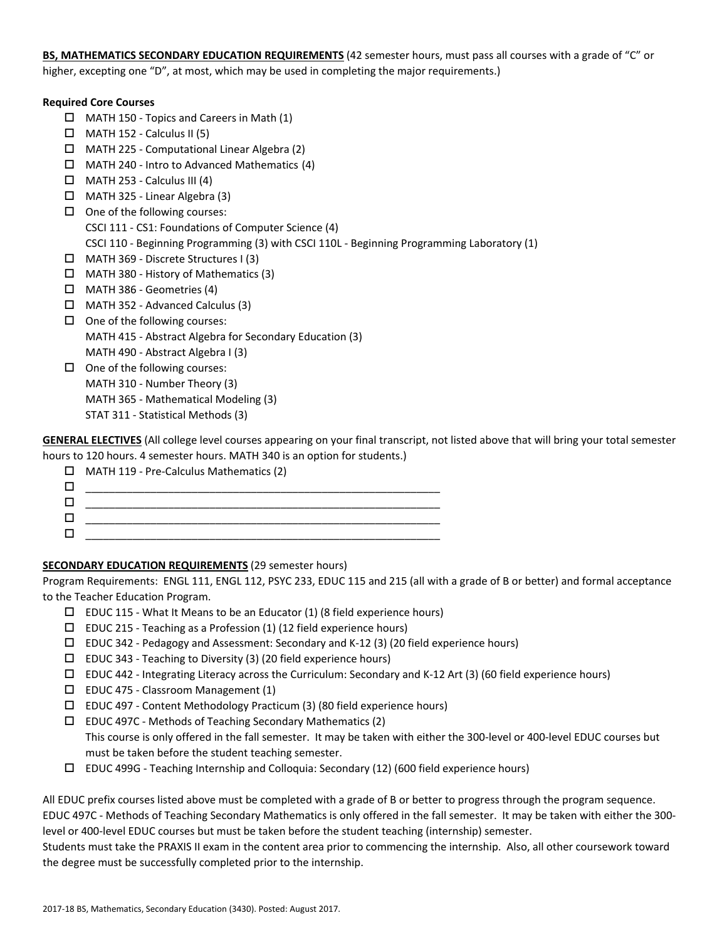**BS, MATHEMATICS SECONDARY EDUCATION REQUIREMENTS** (42 semester hours, must pass all courses with a grade of "C" or higher, excepting one "D", at most, which may be used in completing the major requirements.)

#### **Required Core Courses**

- MATH 150 ‐ Topics and Careers in Math (1)
- $\Box$  MATH 152 Calculus II (5)
- MATH 225 ‐ Computational Linear Algebra (2)
- $\Box$  MATH 240 Intro to Advanced Mathematics (4)
- $\Box$  MATH 253 Calculus III (4)
- MATH 325 ‐ Linear Algebra (3)
- $\Box$  One of the following courses: CSCI 111 ‐ CS1: Foundations of Computer Science (4) CSCI 110 ‐ Beginning Programming (3) with CSCI 110L ‐ Beginning Programming Laboratory (1)
- MATH 369 ‐ Discrete Structures I (3)
- MATH 380 ‐ History of Mathematics (3)
- MATH 386 ‐ Geometries (4)
- MATH 352 ‐ Advanced Calculus (3)
- $\Box$  One of the following courses: MATH 415 ‐ Abstract Algebra for Secondary Education (3) MATH 490 ‐ Abstract Algebra I (3)
- $\Box$  One of the following courses: MATH 310 ‐ Number Theory (3) MATH 365 ‐ Mathematical Modeling (3) STAT 311 ‐ Statistical Methods (3)

**GENERAL ELECTIVES** (All college level courses appearing on your final transcript, not listed above that will bring your total semester hours to 120 hours. 4 semester hours. MATH 340 is an option for students.)

| $\Box$ MATH 119 - Pre-Calculus Mathematics (2) |
|------------------------------------------------|
|                                                |
|                                                |
|                                                |
|                                                |

# **SECONDARY EDUCATION REQUIREMENTS** (29 semester hours)

Program Requirements: ENGL 111, ENGL 112, PSYC 233, EDUC 115 and 215 (all with a grade of B or better) and formal acceptance to the Teacher Education Program.

- $\square$  EDUC 115 What It Means to be an Educator (1) (8 field experience hours)
- $\square$  EDUC 215 Teaching as a Profession (1) (12 field experience hours)
- $\square$  EDUC 342 Pedagogy and Assessment: Secondary and K-12 (3) (20 field experience hours)
- EDUC 343 ‐ Teaching to Diversity (3) (20 field experience hours)
- EDUC 442 ‐ Integrating Literacy across the Curriculum: Secondary and K‐12 Art (3) (60 field experience hours)
- EDUC 475 ‐ Classroom Management (1)
- EDUC 497 Content Methodology Practicum (3) (80 field experience hours)
- EDUC 497C ‐ Methods of Teaching Secondary Mathematics (2)

This course is only offered in the fall semester. It may be taken with either the 300‐level or 400‐level EDUC courses but must be taken before the student teaching semester.

EDUC 499G ‐ Teaching Internship and Colloquia: Secondary (12) (600 field experience hours)

All EDUC prefix courses listed above must be completed with a grade of B or better to progress through the program sequence. EDUC 497C ‐ Methods of Teaching Secondary Mathematics is only offered in the fall semester. It may be taken with either the 300‐ level or 400‐level EDUC courses but must be taken before the student teaching (internship) semester.

Students must take the PRAXIS II exam in the content area prior to commencing the internship. Also, all other coursework toward the degree must be successfully completed prior to the internship.